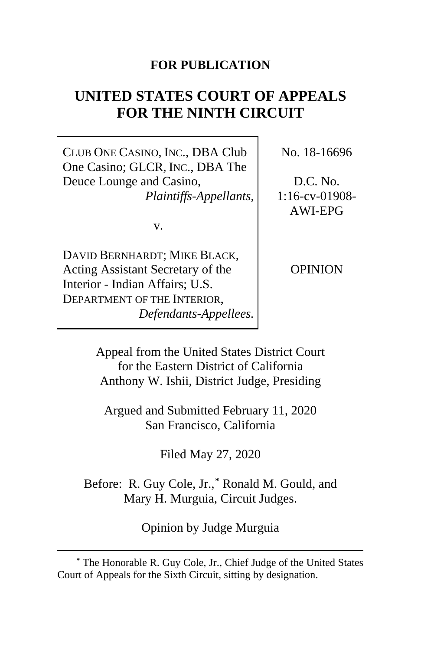## **FOR PUBLICATION**

# **UNITED STATES COURT OF APPEALS FOR THE NINTH CIRCUIT**

CLUB ONE CASINO, INC., DBA Club One Casino; GLCR, INC., DBA The Deuce Lounge and Casino, *Plaintiffs-Appellants*,

v.

DAVID BERNHARDT; MIKE BLACK, Acting Assistant Secretary of the Interior - Indian Affairs; U.S. DEPARTMENT OF THE INTERIOR, *Defendants-Appellees.* No. 18-16696

D.C. No. 1:16-cv-01908- AWI-EPG

OPINION

Appeal from the United States District Court for the Eastern District of California Anthony W. Ishii, District Judge, Presiding

Argued and Submitted February 11, 2020 San Francisco, California

Filed May 27, 2020

Before: R. Guy Cole, Jr.,**[\\*](#page-0-0)** Ronald M. Gould, and Mary H. Murguia, Circuit Judges.

Opinion by Judge Murguia

<span id="page-0-0"></span>**<sup>\*</sup>** The Honorable R. Guy Cole, Jr., Chief Judge of the United States Court of Appeals for the Sixth Circuit, sitting by designation.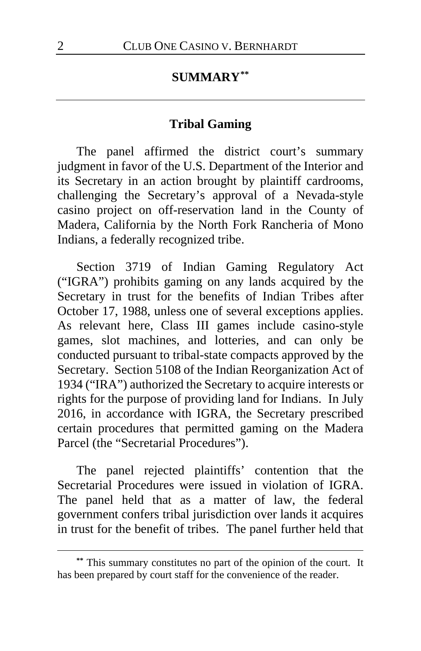## **SUMMARY[\\*\\*](#page-1-0)**

### **Tribal Gaming**

The panel affirmed the district court's summary judgment in favor of the U.S. Department of the Interior and its Secretary in an action brought by plaintiff cardrooms, challenging the Secretary's approval of a Nevada-style casino project on off-reservation land in the County of Madera, California by the North Fork Rancheria of Mono Indians, a federally recognized tribe.

Section 3719 of Indian Gaming Regulatory Act ("IGRA") prohibits gaming on any lands acquired by the Secretary in trust for the benefits of Indian Tribes after October 17, 1988, unless one of several exceptions applies. As relevant here, Class III games include casino-style games, slot machines, and lotteries, and can only be conducted pursuant to tribal-state compacts approved by the Secretary. Section 5108 of the Indian Reorganization Act of 1934 ("IRA") authorized the Secretary to acquire interests or rights for the purpose of providing land for Indians. In July 2016, in accordance with IGRA, the Secretary prescribed certain procedures that permitted gaming on the Madera Parcel (the "Secretarial Procedures").

The panel rejected plaintiffs' contention that the Secretarial Procedures were issued in violation of IGRA. The panel held that as a matter of law, the federal government confers tribal jurisdiction over lands it acquires in trust for the benefit of tribes. The panel further held that

<span id="page-1-0"></span>**<sup>\*\*</sup>** This summary constitutes no part of the opinion of the court. It has been prepared by court staff for the convenience of the reader.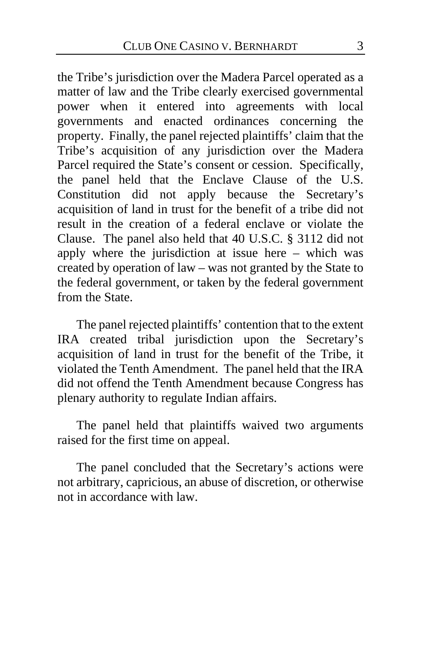the Tribe's jurisdiction over the Madera Parcel operated as a matter of law and the Tribe clearly exercised governmental power when it entered into agreements with local governments and enacted ordinances concerning the property. Finally, the panel rejected plaintiffs' claim that the Tribe's acquisition of any jurisdiction over the Madera Parcel required the State's consent or cession. Specifically, the panel held that the Enclave Clause of the U.S. Constitution did not apply because the Secretary's acquisition of land in trust for the benefit of a tribe did not result in the creation of a federal enclave or violate the Clause. The panel also held that 40 U.S.C. § 3112 did not apply where the jurisdiction at issue here – which was created by operation of law – was not granted by the State to the federal government, or taken by the federal government from the State.

The panel rejected plaintiffs' contention that to the extent IRA created tribal jurisdiction upon the Secretary's acquisition of land in trust for the benefit of the Tribe, it violated the Tenth Amendment. The panel held that the IRA did not offend the Tenth Amendment because Congress has plenary authority to regulate Indian affairs.

The panel held that plaintiffs waived two arguments raised for the first time on appeal.

The panel concluded that the Secretary's actions were not arbitrary, capricious, an abuse of discretion, or otherwise not in accordance with law.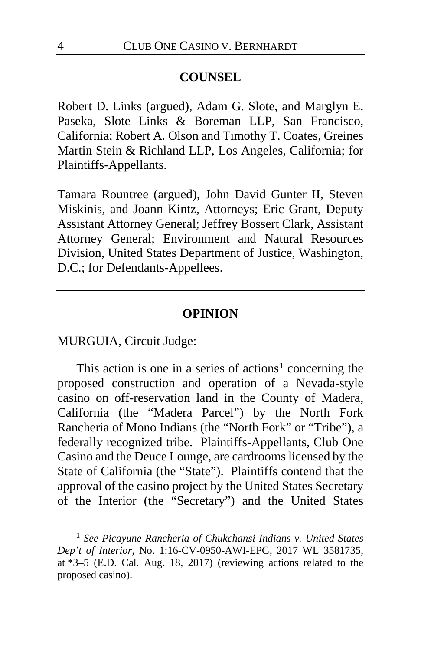#### **COUNSEL**

Robert D. Links (argued), Adam G. Slote, and Marglyn E. Paseka, Slote Links & Boreman LLP, San Francisco, California; Robert A. Olson and Timothy T. Coates, Greines Martin Stein & Richland LLP, Los Angeles, California; for Plaintiffs-Appellants.

Tamara Rountree (argued), John David Gunter II, Steven Miskinis, and Joann Kintz, Attorneys; Eric Grant, Deputy Assistant Attorney General; Jeffrey Bossert Clark, Assistant Attorney General; Environment and Natural Resources Division, United States Department of Justice, Washington, D.C.; for Defendants-Appellees.

#### **OPINION**

MURGUIA, Circuit Judge:

This action is one in a series of actions**[1](#page-3-0)** concerning the proposed construction and operation of a Nevada-style casino on off-reservation land in the County of Madera, California (the "Madera Parcel") by the North Fork Rancheria of Mono Indians (the "North Fork" or "Tribe"), a federally recognized tribe. Plaintiffs-Appellants, Club One Casino and the Deuce Lounge, are cardrooms licensed by the State of California (the "State"). Plaintiffs contend that the approval of the casino project by the United States Secretary of the Interior (the "Secretary") and the United States

<span id="page-3-0"></span>**<sup>1</sup>** *See Picayune Rancheria of Chukchansi Indians v. United States Dep't of Interior*, No. 1:16-CV-0950-AWI-EPG, 2017 WL 3581735, at \*3–5 (E.D. Cal. Aug. 18, 2017) (reviewing actions related to the proposed casino).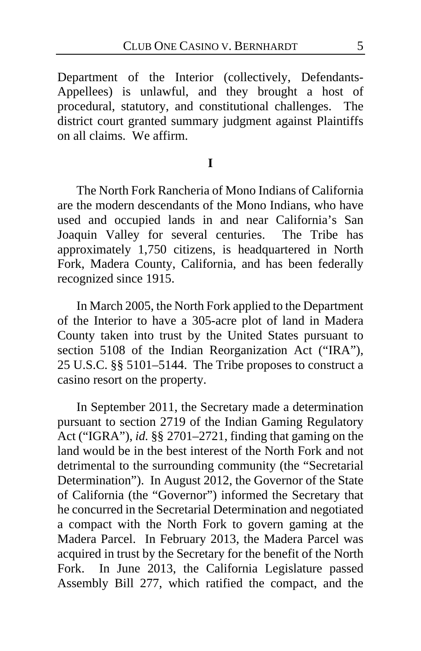Department of the Interior (collectively, Defendants-Appellees) is unlawful, and they brought a host of procedural, statutory, and constitutional challenges. The district court granted summary judgment against Plaintiffs on all claims. We affirm.

### **I**

The North Fork Rancheria of Mono Indians of California are the modern descendants of the Mono Indians, who have used and occupied lands in and near California's San Joaquin Valley for several centuries. The Tribe has approximately 1,750 citizens, is headquartered in North Fork, Madera County, California, and has been federally recognized since 1915.

In March 2005, the North Fork applied to the Department of the Interior to have a 305-acre plot of land in Madera County taken into trust by the United States pursuant to section 5108 of the Indian Reorganization Act ("IRA"), 25 U.S.C. §§ 5101–5144. The Tribe proposes to construct a casino resort on the property.

In September 2011, the Secretary made a determination pursuant to section 2719 of the Indian Gaming Regulatory Act ("IGRA"), *id.* §§ 2701–2721, finding that gaming on the land would be in the best interest of the North Fork and not detrimental to the surrounding community (the "Secretarial Determination"). In August 2012, the Governor of the State of California (the "Governor") informed the Secretary that he concurred in the Secretarial Determination and negotiated a compact with the North Fork to govern gaming at the Madera Parcel. In February 2013, the Madera Parcel was acquired in trust by the Secretary for the benefit of the North Fork. In June 2013, the California Legislature passed Assembly Bill 277, which ratified the compact, and the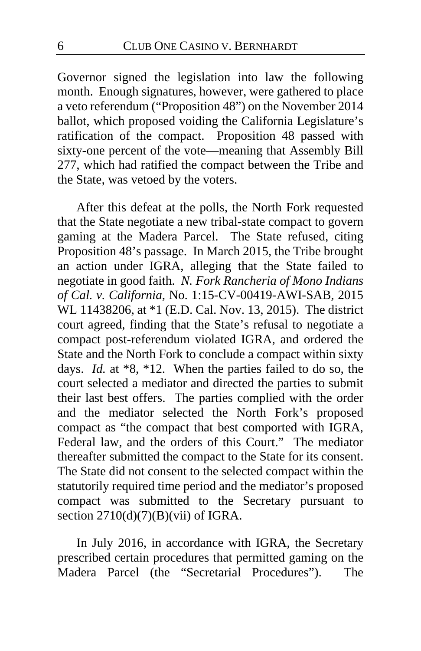Governor signed the legislation into law the following month. Enough signatures, however, were gathered to place a veto referendum ("Proposition 48") on the November 2014 ballot, which proposed voiding the California Legislature's ratification of the compact. Proposition 48 passed with sixty-one percent of the vote—meaning that Assembly Bill 277, which had ratified the compact between the Tribe and the State, was vetoed by the voters.

After this defeat at the polls, the North Fork requested that the State negotiate a new tribal-state compact to govern gaming at the Madera Parcel. The State refused, citing Proposition 48's passage. In March 2015, the Tribe brought an action under IGRA, alleging that the State failed to negotiate in good faith. *N. Fork Rancheria of Mono Indians of Cal. v. California*, No. 1:15-CV-00419-AWI-SAB, 2015 WL 11438206, at \*1 (E.D. Cal. Nov. 13, 2015). The district court agreed, finding that the State's refusal to negotiate a compact post-referendum violated IGRA, and ordered the State and the North Fork to conclude a compact within sixty days. *Id.* at \*8, \*12. When the parties failed to do so, the court selected a mediator and directed the parties to submit their last best offers. The parties complied with the order and the mediator selected the North Fork's proposed compact as "the compact that best comported with IGRA, Federal law, and the orders of this Court." The mediator thereafter submitted the compact to the State for its consent. The State did not consent to the selected compact within the statutorily required time period and the mediator's proposed compact was submitted to the Secretary pursuant to section  $2710(d)(7)(B)(vii)$  of IGRA.

In July 2016, in accordance with IGRA, the Secretary prescribed certain procedures that permitted gaming on the Madera Parcel (the "Secretarial Procedures"). The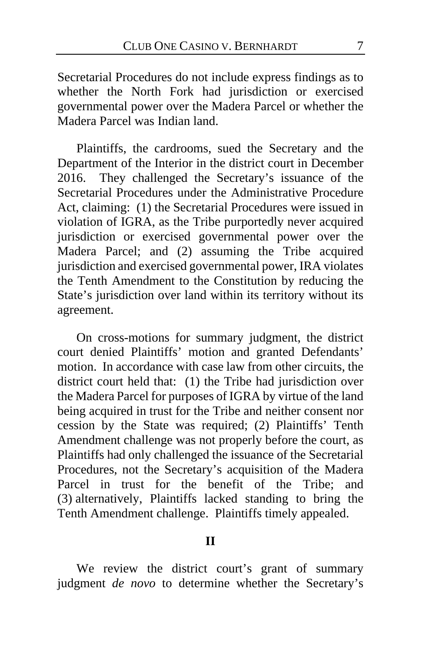Secretarial Procedures do not include express findings as to whether the North Fork had jurisdiction or exercised governmental power over the Madera Parcel or whether the Madera Parcel was Indian land.

Plaintiffs, the cardrooms, sued the Secretary and the Department of the Interior in the district court in December 2016. They challenged the Secretary's issuance of the Secretarial Procedures under the Administrative Procedure Act, claiming: (1) the Secretarial Procedures were issued in violation of IGRA, as the Tribe purportedly never acquired jurisdiction or exercised governmental power over the Madera Parcel; and (2) assuming the Tribe acquired jurisdiction and exercised governmental power, IRA violates the Tenth Amendment to the Constitution by reducing the State's jurisdiction over land within its territory without its agreement.

On cross-motions for summary judgment, the district court denied Plaintiffs' motion and granted Defendants' motion. In accordance with case law from other circuits, the district court held that: (1) the Tribe had jurisdiction over the Madera Parcel for purposes of IGRA by virtue of the land being acquired in trust for the Tribe and neither consent nor cession by the State was required; (2) Plaintiffs' Tenth Amendment challenge was not properly before the court, as Plaintiffs had only challenged the issuance of the Secretarial Procedures, not the Secretary's acquisition of the Madera Parcel in trust for the benefit of the Tribe; and (3) alternatively, Plaintiffs lacked standing to bring the Tenth Amendment challenge. Plaintiffs timely appealed.

### **II**

We review the district court's grant of summary judgment *de novo* to determine whether the Secretary's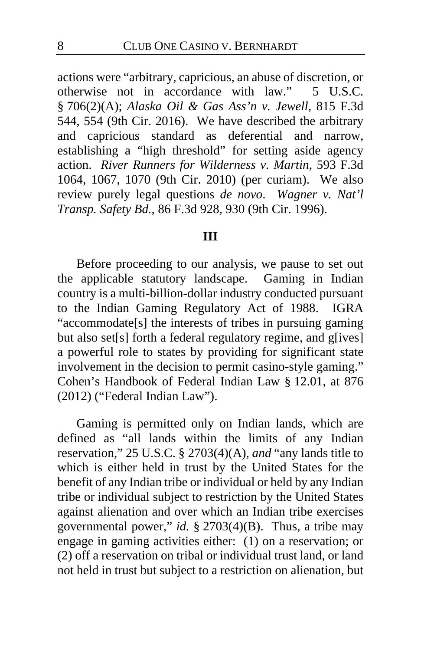actions were "arbitrary, capricious, an abuse of discretion, or otherwise not in accordance with law." 5 U.S.C. § 706(2)(A); *Alaska Oil & Gas Ass'n v. Jewell*, 815 F.3d 544, 554 (9th Cir. 2016). We have described the arbitrary and capricious standard as deferential and narrow, establishing a "high threshold" for setting aside agency action. *River Runners for Wilderness v. Martin*, 593 F.3d 1064, 1067, 1070 (9th Cir. 2010) (per curiam). We also review purely legal questions *de novo*. *Wagner v. Nat'l Transp. Safety Bd.*, 86 F.3d 928, 930 (9th Cir. 1996).

#### **III**

Before proceeding to our analysis, we pause to set out the applicable statutory landscape. Gaming in Indian country is a multi-billion-dollar industry conducted pursuant to the Indian Gaming Regulatory Act of 1988. IGRA "accommodate[s] the interests of tribes in pursuing gaming but also set[s] forth a federal regulatory regime, and g[ives] a powerful role to states by providing for significant state involvement in the decision to permit casino-style gaming." Cohen's Handbook of Federal Indian Law § 12.01, at 876 (2012) ("Federal Indian Law").

Gaming is permitted only on Indian lands, which are defined as "all lands within the limits of any Indian reservation," 25 U.S.C. § 2703(4)(A), *and* "any lands title to which is either held in trust by the United States for the benefit of any Indian tribe or individual or held by any Indian tribe or individual subject to restriction by the United States against alienation and over which an Indian tribe exercises governmental power," *id.* § 2703(4)(B). Thus, a tribe may engage in gaming activities either: (1) on a reservation; or (2) off a reservation on tribal or individual trust land, or land not held in trust but subject to a restriction on alienation, but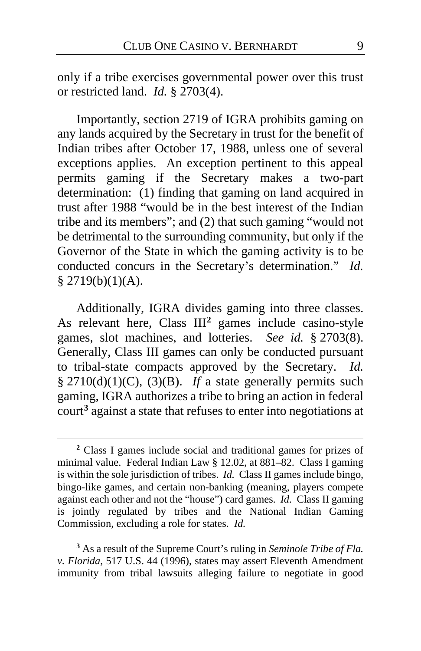only if a tribe exercises governmental power over this trust or restricted land. *Id.* § 2703(4).

Importantly, section 2719 of IGRA prohibits gaming on any lands acquired by the Secretary in trust for the benefit of Indian tribes after October 17, 1988, unless one of several exceptions applies. An exception pertinent to this appeal permits gaming if the Secretary makes a two-part determination: (1) finding that gaming on land acquired in trust after 1988 "would be in the best interest of the Indian tribe and its members"; and (2) that such gaming "would not be detrimental to the surrounding community, but only if the Governor of the State in which the gaming activity is to be conducted concurs in the Secretary's determination." *Id.*  $$2719(b)(1)(A).$ 

Additionally, IGRA divides gaming into three classes. As relevant here, Class III**[2](#page-8-0)** games include casino-style games, slot machines, and lotteries. *See id.* § 2703(8). Generally, Class III games can only be conducted pursuant to tribal-state compacts approved by the Secretary. *Id.* §  $2710(d)(1)(C)$ ,  $(3)(B)$ . *If* a state generally permits such gaming, IGRA authorizes a tribe to bring an action in federal court**[3](#page-8-1)** against a state that refuses to enter into negotiations at

<span id="page-8-1"></span>**<sup>3</sup>** As a result of the Supreme Court's ruling in *Seminole Tribe of Fla. v. Florida*, 517 U.S. 44 (1996), states may assert Eleventh Amendment immunity from tribal lawsuits alleging failure to negotiate in good

<span id="page-8-0"></span>**<sup>2</sup>** Class I games include social and traditional games for prizes of minimal value. Federal Indian Law § 12.02, at 881–82. Class I gaming is within the sole jurisdiction of tribes. *Id.* Class II games include bingo, bingo-like games, and certain non-banking (meaning, players compete against each other and not the "house") card games. *Id.* Class II gaming is jointly regulated by tribes and the National Indian Gaming Commission, excluding a role for states. *Id.*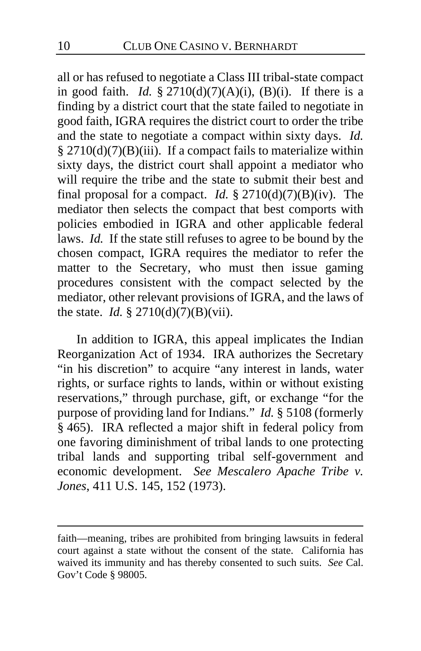all or has refused to negotiate a Class III tribal-state compact in good faith. *Id.*  $\S 2710(d)(7)(A)(i)$ , (B)(i). If there is a finding by a district court that the state failed to negotiate in good faith, IGRA requires the district court to order the tribe and the state to negotiate a compact within sixty days. *Id.* § 2710(d)(7)(B)(iii). If a compact fails to materialize within sixty days, the district court shall appoint a mediator who will require the tribe and the state to submit their best and final proposal for a compact. *Id.*  $\S 2710(d)(7)(B)(iv)$ . The mediator then selects the compact that best comports with policies embodied in IGRA and other applicable federal laws. *Id.* If the state still refuses to agree to be bound by the chosen compact, IGRA requires the mediator to refer the matter to the Secretary, who must then issue gaming procedures consistent with the compact selected by the mediator, other relevant provisions of IGRA, and the laws of the state. *Id.* § 2710(d)(7)(B)(vii).

In addition to IGRA, this appeal implicates the Indian Reorganization Act of 1934. IRA authorizes the Secretary "in his discretion" to acquire "any interest in lands, water rights, or surface rights to lands, within or without existing reservations," through purchase, gift, or exchange "for the purpose of providing land for Indians." *Id.* § 5108 (formerly § 465). IRA reflected a major shift in federal policy from one favoring diminishment of tribal lands to one protecting tribal lands and supporting tribal self-government and economic development. *See Mescalero Apache Tribe v. Jones*, 411 U.S. 145, 152 (1973).

faith—meaning, tribes are prohibited from bringing lawsuits in federal court against a state without the consent of the state. California has waived its immunity and has thereby consented to such suits. *See* Cal. Gov't Code § 98005.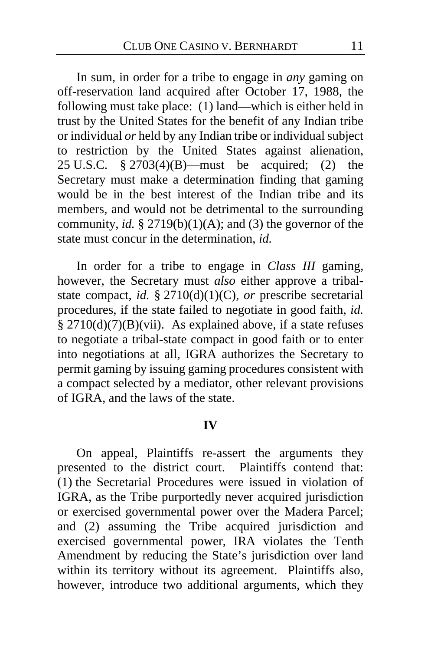In sum, in order for a tribe to engage in *any* gaming on off-reservation land acquired after October 17, 1988, the following must take place: (1) land—which is either held in trust by the United States for the benefit of any Indian tribe or individual *or* held by any Indian tribe or individual subject to restriction by the United States against alienation, 25 U.S.C. § 2703(4)(B)—must be acquired; (2) the Secretary must make a determination finding that gaming would be in the best interest of the Indian tribe and its members, and would not be detrimental to the surrounding community, *id.*  $\S 2719(b)(1)(A)$ ; and (3) the governor of the state must concur in the determination, *id.*

In order for a tribe to engage in *Class III* gaming, however, the Secretary must *also* either approve a tribalstate compact, *id.* § 2710(d)(1)(C), *or* prescribe secretarial procedures, if the state failed to negotiate in good faith, *id.*  $§$  2710(d)(7)(B)(vii). As explained above, if a state refuses to negotiate a tribal-state compact in good faith or to enter into negotiations at all, IGRA authorizes the Secretary to permit gaming by issuing gaming procedures consistent with a compact selected by a mediator, other relevant provisions of IGRA, and the laws of the state.

#### **IV**

On appeal, Plaintiffs re-assert the arguments they presented to the district court. Plaintiffs contend that: (1) the Secretarial Procedures were issued in violation of IGRA, as the Tribe purportedly never acquired jurisdiction or exercised governmental power over the Madera Parcel; and (2) assuming the Tribe acquired jurisdiction and exercised governmental power, IRA violates the Tenth Amendment by reducing the State's jurisdiction over land within its territory without its agreement. Plaintiffs also, however, introduce two additional arguments, which they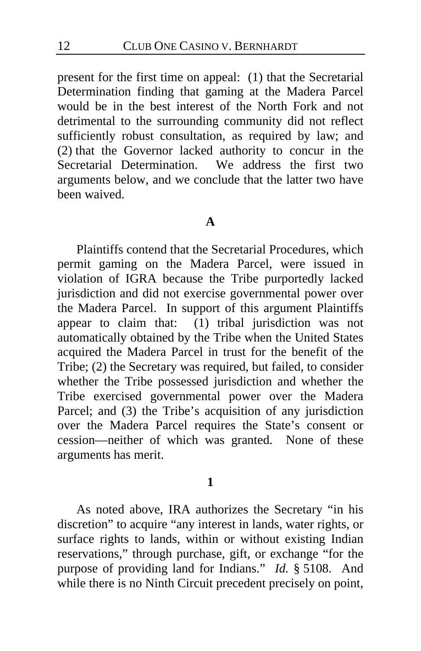present for the first time on appeal: (1) that the Secretarial Determination finding that gaming at the Madera Parcel would be in the best interest of the North Fork and not detrimental to the surrounding community did not reflect sufficiently robust consultation, as required by law; and (2) that the Governor lacked authority to concur in the Secretarial Determination. We address the first two arguments below, and we conclude that the latter two have been waived.

#### **A**

Plaintiffs contend that the Secretarial Procedures, which permit gaming on the Madera Parcel, were issued in violation of IGRA because the Tribe purportedly lacked jurisdiction and did not exercise governmental power over the Madera Parcel. In support of this argument Plaintiffs appear to claim that: (1) tribal jurisdiction was not automatically obtained by the Tribe when the United States acquired the Madera Parcel in trust for the benefit of the Tribe; (2) the Secretary was required, but failed, to consider whether the Tribe possessed jurisdiction and whether the Tribe exercised governmental power over the Madera Parcel; and (3) the Tribe's acquisition of any jurisdiction over the Madera Parcel requires the State's consent or cession—neither of which was granted. None of these arguments has merit.

#### **1**

As noted above, IRA authorizes the Secretary "in his discretion" to acquire "any interest in lands, water rights, or surface rights to lands, within or without existing Indian reservations," through purchase, gift, or exchange "for the purpose of providing land for Indians." *Id.* § 5108. And while there is no Ninth Circuit precedent precisely on point,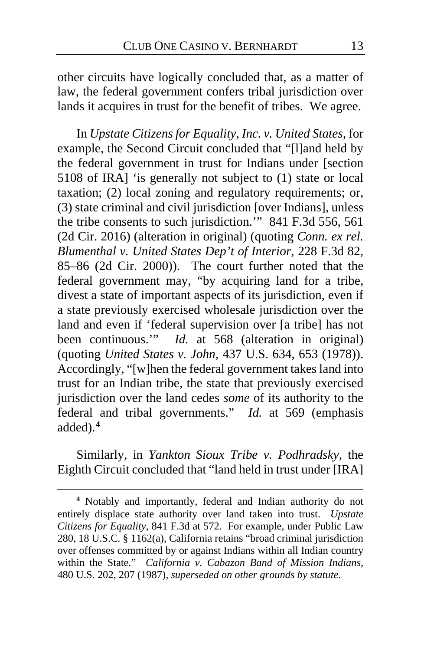other circuits have logically concluded that, as a matter of law, the federal government confers tribal jurisdiction over lands it acquires in trust for the benefit of tribes. We agree.

In *Upstate Citizens for Equality, Inc. v. United States*, for example, the Second Circuit concluded that "[l]and held by the federal government in trust for Indians under [section 5108 of IRA] 'is generally not subject to (1) state or local taxation; (2) local zoning and regulatory requirements; or, (3) state criminal and civil jurisdiction [over Indians], unless the tribe consents to such jurisdiction.'" 841 F.3d 556, 561 (2d Cir. 2016) (alteration in original) (quoting *Conn. ex rel. Blumenthal v. United States Dep't of Interior*, 228 F.3d 82, 85–86 (2d Cir. 2000)). The court further noted that the federal government may, "by acquiring land for a tribe, divest a state of important aspects of its jurisdiction, even if a state previously exercised wholesale jurisdiction over the land and even if 'federal supervision over [a tribe] has not been continuous.'" *Id.* at 568 (alteration in original) (quoting *United States v. John*, 437 U.S. 634, 653 (1978)). Accordingly, "[w]hen the federal government takes land into trust for an Indian tribe, the state that previously exercised jurisdiction over the land cedes *some* of its authority to the federal and tribal governments." *Id.* at 569 (emphasis added).**[4](#page-12-0)**

Similarly, in *Yankton Sioux Tribe v. Podhradsky*, the Eighth Circuit concluded that "land held in trust under [IRA]

<span id="page-12-0"></span>**<sup>4</sup>** Notably and importantly, federal and Indian authority do not entirely displace state authority over land taken into trust. *Upstate Citizens for Equality*, 841 F.3d at 572. For example, under Public Law 280, 18 U.S.C. § 1162(a), California retains "broad criminal jurisdiction over offenses committed by or against Indians within all Indian country within the State." *California v. Cabazon Band of Mission Indians*, 480 U.S. 202, 207 (1987), *superseded on other grounds by statute*.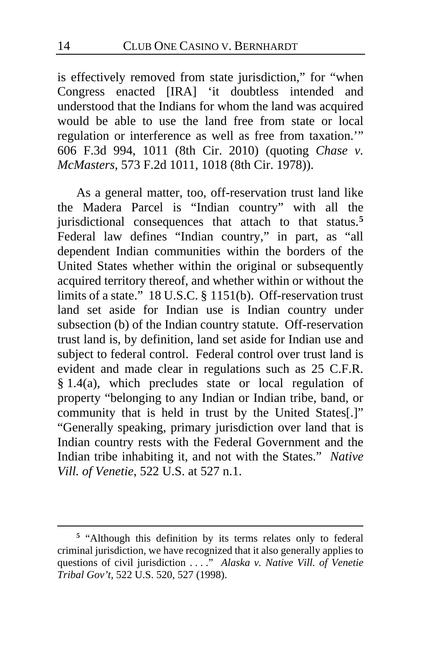is effectively removed from state jurisdiction," for "when Congress enacted [IRA] 'it doubtless intended and understood that the Indians for whom the land was acquired would be able to use the land free from state or local regulation or interference as well as free from taxation.'" 606 F.3d 994, 1011 (8th Cir. 2010) (quoting *Chase v. McMasters*, 573 F.2d 1011, 1018 (8th Cir. 1978)).

As a general matter, too, off-reservation trust land like the Madera Parcel is "Indian country" with all the jurisdictional consequences that attach to that status.**[5](#page-13-0)** Federal law defines "Indian country," in part, as "all dependent Indian communities within the borders of the United States whether within the original or subsequently acquired territory thereof, and whether within or without the limits of a state." 18 U.S.C. § 1151(b). Off-reservation trust land set aside for Indian use is Indian country under subsection (b) of the Indian country statute. Off-reservation trust land is, by definition, land set aside for Indian use and subject to federal control. Federal control over trust land is evident and made clear in regulations such as 25 C.F.R.  $§$  1.4(a), which precludes state or local regulation of property "belonging to any Indian or Indian tribe, band, or community that is held in trust by the United States[.]" "Generally speaking, primary jurisdiction over land that is Indian country rests with the Federal Government and the Indian tribe inhabiting it, and not with the States." *Native Vill. of Venetie*, 522 U.S. at 527 n.1.

<span id="page-13-0"></span>**<sup>5</sup>** "Although this definition by its terms relates only to federal criminal jurisdiction, we have recognized that it also generally applies to questions of civil jurisdiction . . . ." *Alaska v. Native Vill. of Venetie Tribal Gov't*, 522 U.S. 520, 527 (1998).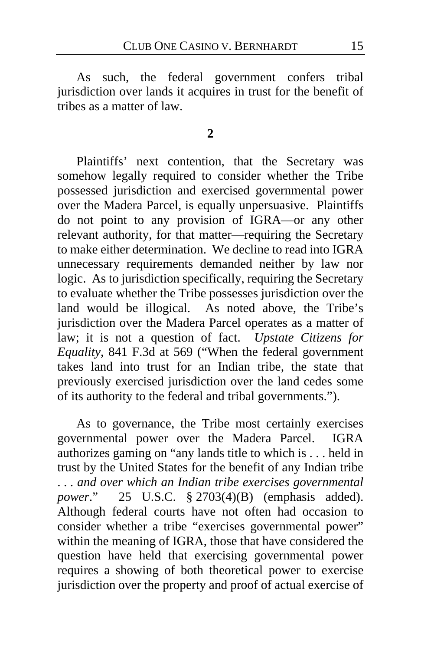As such, the federal government confers tribal jurisdiction over lands it acquires in trust for the benefit of tribes as a matter of law.

#### **2**

Plaintiffs' next contention, that the Secretary was somehow legally required to consider whether the Tribe possessed jurisdiction and exercised governmental power over the Madera Parcel, is equally unpersuasive. Plaintiffs do not point to any provision of IGRA—or any other relevant authority, for that matter—requiring the Secretary to make either determination. We decline to read into IGRA unnecessary requirements demanded neither by law nor logic. As to jurisdiction specifically, requiring the Secretary to evaluate whether the Tribe possesses jurisdiction over the land would be illogical. As noted above, the Tribe's jurisdiction over the Madera Parcel operates as a matter of law; it is not a question of fact. *Upstate Citizens for Equality*, 841 F.3d at 569 ("When the federal government takes land into trust for an Indian tribe, the state that previously exercised jurisdiction over the land cedes some of its authority to the federal and tribal governments.").

As to governance, the Tribe most certainly exercises governmental power over the Madera Parcel. IGRA authorizes gaming on "any lands title to which is . . . held in trust by the United States for the benefit of any Indian tribe . . . *and over which an Indian tribe exercises governmental power*." 25 U.S.C. § 2703(4)(B) (emphasis added). Although federal courts have not often had occasion to consider whether a tribe "exercises governmental power" within the meaning of IGRA, those that have considered the question have held that exercising governmental power requires a showing of both theoretical power to exercise jurisdiction over the property and proof of actual exercise of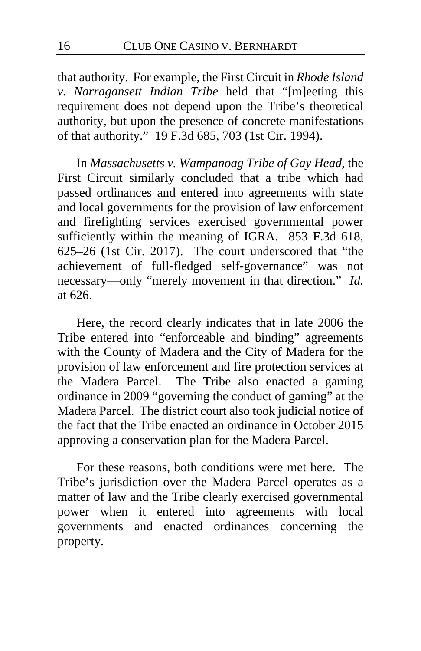that authority. For example, the First Circuit in *Rhode Island v. Narragansett Indian Tribe* held that "[m]eeting this requirement does not depend upon the Tribe's theoretical authority, but upon the presence of concrete manifestations of that authority." 19 F.3d 685, 703 (1st Cir. 1994).

In *Massachusetts v. Wampanoag Tribe of Gay Head*, the First Circuit similarly concluded that a tribe which had passed ordinances and entered into agreements with state and local governments for the provision of law enforcement and firefighting services exercised governmental power sufficiently within the meaning of IGRA. 853 F.3d 618, 625–26 (1st Cir. 2017). The court underscored that "the achievement of full-fledged self-governance" was not necessary—only "merely movement in that direction." *Id.* at 626.

Here, the record clearly indicates that in late 2006 the Tribe entered into "enforceable and binding" agreements with the County of Madera and the City of Madera for the provision of law enforcement and fire protection services at the Madera Parcel. The Tribe also enacted a gaming ordinance in 2009 "governing the conduct of gaming" at the Madera Parcel. The district court also took judicial notice of the fact that the Tribe enacted an ordinance in October 2015 approving a conservation plan for the Madera Parcel.

For these reasons, both conditions were met here. The Tribe's jurisdiction over the Madera Parcel operates as a matter of law and the Tribe clearly exercised governmental power when it entered into agreements with local governments and enacted ordinances concerning the property.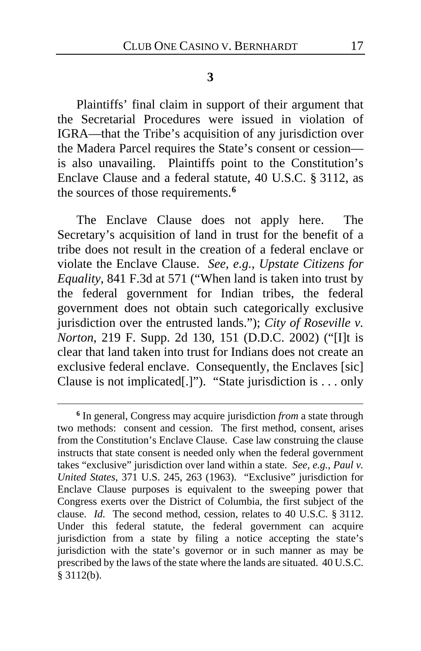#### **3**

Plaintiffs' final claim in support of their argument that the Secretarial Procedures were issued in violation of IGRA—that the Tribe's acquisition of any jurisdiction over the Madera Parcel requires the State's consent or cession is also unavailing. Plaintiffs point to the Constitution's Enclave Clause and a federal statute, 40 U.S.C. § 3112, as the sources of those requirements.**[6](#page-16-0)**

The Enclave Clause does not apply here. The Secretary's acquisition of land in trust for the benefit of a tribe does not result in the creation of a federal enclave or violate the Enclave Clause. *See, e.g.*, *Upstate Citizens for Equality*, 841 F.3d at 571 ("When land is taken into trust by the federal government for Indian tribes, the federal government does not obtain such categorically exclusive jurisdiction over the entrusted lands."); *City of Roseville v. Norton*, 219 F. Supp. 2d 130, 151 (D.D.C. 2002) ("[I]t is clear that land taken into trust for Indians does not create an exclusive federal enclave. Consequently, the Enclaves [sic] Clause is not implicated[.]"). "State jurisdiction is . . . only

<span id="page-16-0"></span>**<sup>6</sup>** In general, Congress may acquire jurisdiction *from* a state through two methods: consent and cession. The first method, consent, arises from the Constitution's Enclave Clause. Case law construing the clause instructs that state consent is needed only when the federal government takes "exclusive" jurisdiction over land within a state. *See, e.g.*, *Paul v. United States*, 371 U.S. 245, 263 (1963). "Exclusive" jurisdiction for Enclave Clause purposes is equivalent to the sweeping power that Congress exerts over the District of Columbia, the first subject of the clause. *Id.* The second method, cession, relates to 40 U.S.C. § 3112. Under this federal statute, the federal government can acquire jurisdiction from a state by filing a notice accepting the state's jurisdiction with the state's governor or in such manner as may be prescribed by the laws of the state where the lands are situated. 40 U.S.C. § 3112(b).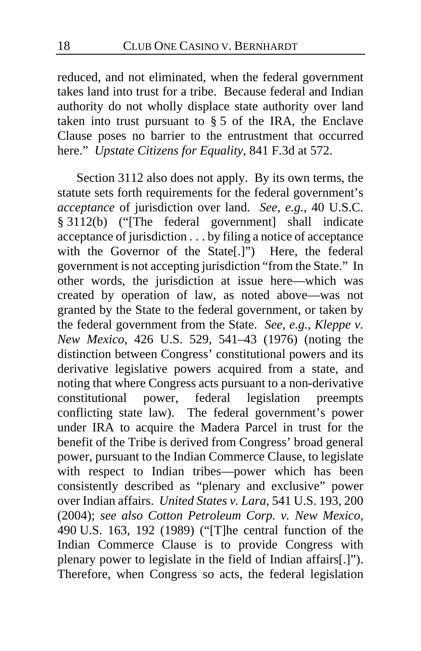reduced, and not eliminated, when the federal government takes land into trust for a tribe. Because federal and Indian authority do not wholly displace state authority over land taken into trust pursuant to  $\S 5$  of the IRA, the Enclave Clause poses no barrier to the entrustment that occurred here." *Upstate Citizens for Equality*, 841 F.3d at 572.

Section 3112 also does not apply. By its own terms, the statute sets forth requirements for the federal government's *acceptance* of jurisdiction over land. *See, e.g.*, 40 U.S.C. § 3112(b) ("[The federal government] shall indicate acceptance of jurisdiction . . . by filing a notice of acceptance with the Governor of the State[.]") Here, the federal government is not accepting jurisdiction "from the State." In other words, the jurisdiction at issue here—which was created by operation of law, as noted above—was not granted by the State to the federal government, or taken by the federal government from the State. *See, e.g.*, *Kleppe v. New Mexico*, 426 U.S. 529, 541–43 (1976) (noting the distinction between Congress' constitutional powers and its derivative legislative powers acquired from a state, and noting that where Congress acts pursuant to a non-derivative<br>constitutional power. federal legislation preempts power, federal legislation preempts conflicting state law). The federal government's power under IRA to acquire the Madera Parcel in trust for the benefit of the Tribe is derived from Congress' broad general power, pursuant to the Indian Commerce Clause, to legislate with respect to Indian tribes—power which has been consistently described as "plenary and exclusive" power over Indian affairs. *United States v. Lara*, 541 U.S. 193, 200 (2004); *see also Cotton Petroleum Corp. v. New Mexico*, 490 U.S. 163, 192 (1989) ("[T]he central function of the Indian Commerce Clause is to provide Congress with plenary power to legislate in the field of Indian affairs[.]"). Therefore, when Congress so acts, the federal legislation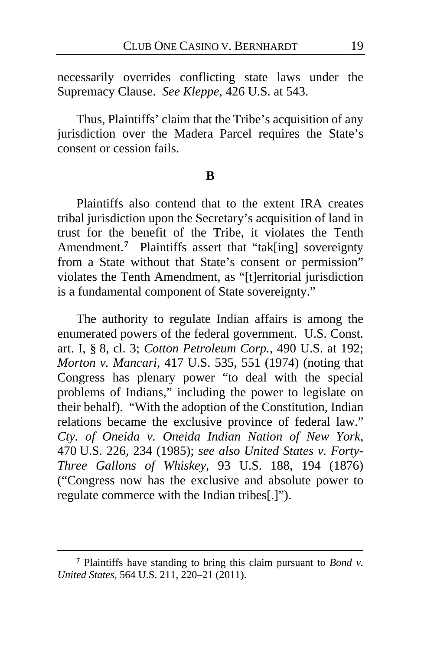necessarily overrides conflicting state laws under the Supremacy Clause. *See Kleppe*, 426 U.S. at 543.

Thus, Plaintiffs' claim that the Tribe's acquisition of any jurisdiction over the Madera Parcel requires the State's consent or cession fails.

#### **B**

Plaintiffs also contend that to the extent IRA creates tribal jurisdiction upon the Secretary's acquisition of land in trust for the benefit of the Tribe, it violates the Tenth Amendment.<sup>[7](#page-18-0)</sup> Plaintiffs assert that "tak[ing] sovereignty from a State without that State's consent or permission" violates the Tenth Amendment, as "[t]erritorial jurisdiction is a fundamental component of State sovereignty."

The authority to regulate Indian affairs is among the enumerated powers of the federal government. U.S. Const. art. I, § 8, cl. 3; *Cotton Petroleum Corp.*, 490 U.S. at 192; *Morton v. Mancari*, 417 U.S. 535, 551 (1974) (noting that Congress has plenary power "to deal with the special problems of Indians," including the power to legislate on their behalf). "With the adoption of the Constitution, Indian relations became the exclusive province of federal law." *Cty. of Oneida v. Oneida Indian Nation of New York*, 470 U.S. 226, 234 (1985); *see also United States v. Forty-Three Gallons of Whiskey*, 93 U.S. 188, 194 (1876) ("Congress now has the exclusive and absolute power to regulate commerce with the Indian tribes[.]").

<span id="page-18-0"></span>**<sup>7</sup>** Plaintiffs have standing to bring this claim pursuant to *Bond v. United States*, 564 U.S. 211, 220–21 (2011).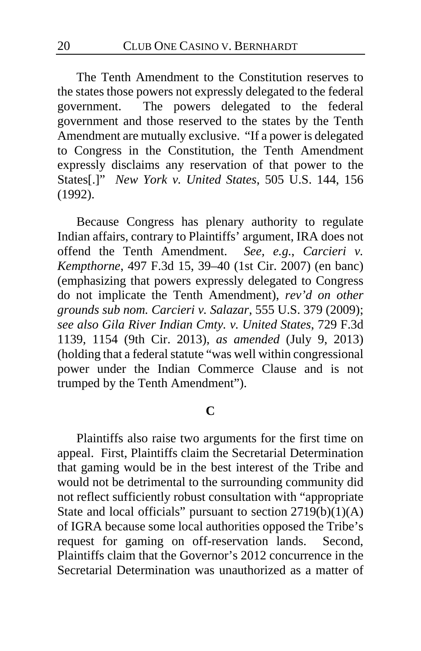The Tenth Amendment to the Constitution reserves to the states those powers not expressly delegated to the federal government. The powers delegated to the federal government and those reserved to the states by the Tenth Amendment are mutually exclusive. "If a power is delegated to Congress in the Constitution, the Tenth Amendment expressly disclaims any reservation of that power to the States[.]" *New York v. United States*, 505 U.S. 144, 156 (1992).

Because Congress has plenary authority to regulate Indian affairs, contrary to Plaintiffs' argument, IRA does not offend the Tenth Amendment. *See, e.g.*, *Carcieri v. Kempthorne*, 497 F.3d 15, 39–40 (1st Cir. 2007) (en banc) (emphasizing that powers expressly delegated to Congress do not implicate the Tenth Amendment), *rev'd on other grounds sub nom. Carcieri v. Salazar*, 555 U.S. 379 (2009); *see also Gila River Indian Cmty. v. United States*, 729 F.3d 1139, 1154 (9th Cir. 2013), *as amended* (July 9, 2013) (holding that a federal statute "was well within congressional power under the Indian Commerce Clause and is not trumped by the Tenth Amendment").

# **C**

Plaintiffs also raise two arguments for the first time on appeal. First, Plaintiffs claim the Secretarial Determination that gaming would be in the best interest of the Tribe and would not be detrimental to the surrounding community did not reflect sufficiently robust consultation with "appropriate State and local officials" pursuant to section  $2719(b)(1)(A)$ of IGRA because some local authorities opposed the Tribe's request for gaming on off-reservation lands. Second, Plaintiffs claim that the Governor's 2012 concurrence in the Secretarial Determination was unauthorized as a matter of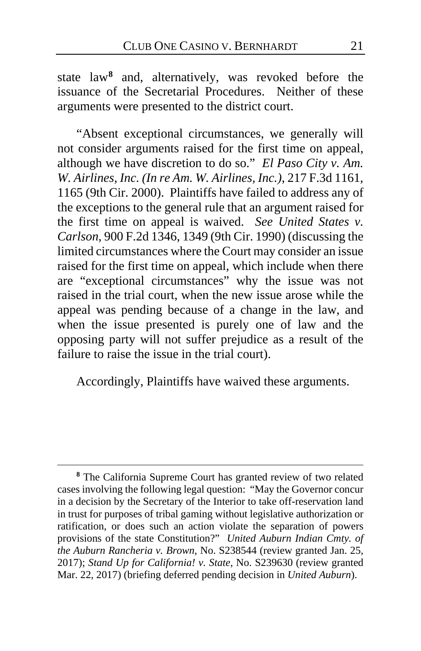state law**[8](#page-20-0)** and, alternatively, was revoked before the issuance of the Secretarial Procedures. Neither of these arguments were presented to the district court.

"Absent exceptional circumstances, we generally will not consider arguments raised for the first time on appeal, although we have discretion to do so." *El Paso City v. Am. W. Airlines, Inc. (In re Am. W. Airlines, Inc.)*, 217 F.3d 1161, 1165 (9th Cir. 2000). Plaintiffs have failed to address any of the exceptions to the general rule that an argument raised for the first time on appeal is waived. *See United States v. Carlson*, 900 F.2d 1346, 1349 (9th Cir. 1990) (discussing the limited circumstances where the Court may consider an issue raised for the first time on appeal, which include when there are "exceptional circumstances" why the issue was not raised in the trial court, when the new issue arose while the appeal was pending because of a change in the law, and when the issue presented is purely one of law and the opposing party will not suffer prejudice as a result of the failure to raise the issue in the trial court).

Accordingly, Plaintiffs have waived these arguments.

<span id="page-20-0"></span>**<sup>8</sup>** The California Supreme Court has granted review of two related cases involving the following legal question: "May the Governor concur in a decision by the Secretary of the Interior to take off-reservation land in trust for purposes of tribal gaming without legislative authorization or ratification, or does such an action violate the separation of powers provisions of the state Constitution?" *United Auburn Indian Cmty. of the Auburn Rancheria v. Brown*, No. S238544 (review granted Jan. 25, 2017); *Stand Up for California! v. State*, No. S239630 (review granted Mar. 22, 2017) (briefing deferred pending decision in *United Auburn*).